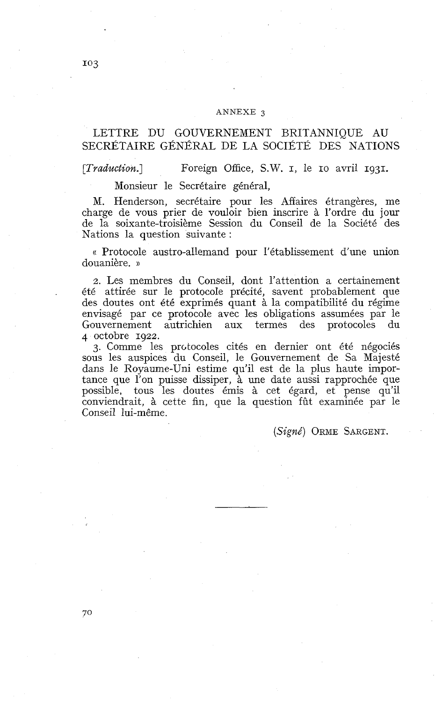#### ANNEXE 3

## LETTRE DU GOUVERNEMENT BRITANNIQUE AU SECRÉTAIRE GÉNÉRAL DE LA SOCIÉTÉ DES NATIONS

*[Tradaction.]* Foreign Office, S.W. 1, le IO avril 1931.

Monsieur le Secrétaire général,

M. Henderson, secrétaire pour les Affaires étrangères, me charge de vous prier de vouloir bien inscrire à l'ordre du jour de la soixante-troisième Session du Conseil de la Société des Nations la question suivante :

« Protocole austro-allemand pour l'établissement d'une union douanière. ))

2. Les membres du Conseil, dont l'attention a certainement été attirée sur le protocole précité, savent probablement que des doutes ont été exprimés quant à la compatibilité du régime envisagé par ce protocole avec les obligations assumées par le Gouvernement autrichien aux termes des protocoles du 4 octobre 1922.

3. Comme les protocoles cités en dernier ont été négociés sous les auspices du Conseil, le Gouvernement de Sa Majesté dans le Royaume-Uni estime qu'il est de la plus haute importance que l'on puisse dissiper, à une date aussi rapprochée que possible, tous les doutes émis à cet égard, et pense qu'il conviendrait, à cette fin, que la question fût examinée par le Conseil lui-même.

(Signé) ORME SARGENT.

70